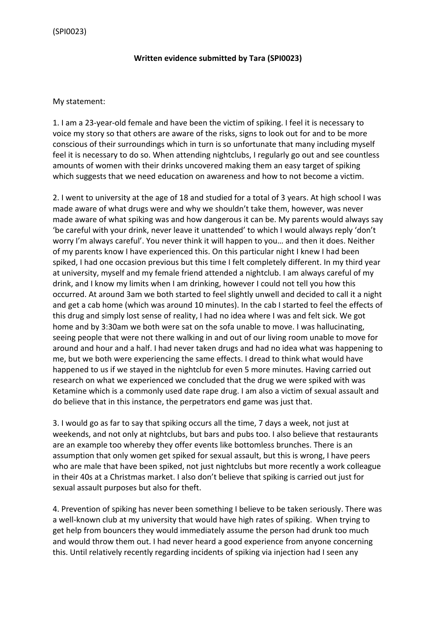## **Written evidence submitted by Tara (SPI0023)**

## My statement:

1. I am a 23-year-old female and have been the victim of spiking. I feel it is necessary to voice my story so that others are aware of the risks, signs to look out for and to be more conscious of their surroundings which in turn is so unfortunate that many including myself feel it is necessary to do so. When attending nightclubs, I regularly go out and see countless amounts of women with their drinks uncovered making them an easy target of spiking which suggests that we need education on awareness and how to not become a victim.

2. I went to university at the age of 18 and studied for a total of 3 years. At high school I was made aware of what drugs were and why we shouldn't take them, however, was never made aware of what spiking was and how dangerous it can be. My parents would always say 'be careful with your drink, never leave it unattended' to which I would always reply 'don't worry I'm always careful'. You never think it will happen to you… and then it does. Neither of my parents know I have experienced this. On this particular night I knew I had been spiked, I had one occasion previous but this time I felt completely different. In my third year at university, myself and my female friend attended a nightclub. I am always careful of my drink, and I know my limits when I am drinking, however I could not tell you how this occurred. At around 3am we both started to feel slightly unwell and decided to call it a night and get a cab home (which was around 10 minutes). In the cab I started to feel the effects of this drug and simply lost sense of reality, I had no idea where I was and felt sick. We got home and by 3:30am we both were sat on the sofa unable to move. I was hallucinating, seeing people that were not there walking in and out of our living room unable to move for around and hour and a half. I had never taken drugs and had no idea what was happening to me, but we both were experiencing the same effects. I dread to think what would have happened to us if we stayed in the nightclub for even 5 more minutes. Having carried out research on what we experienced we concluded that the drug we were spiked with was Ketamine which is a commonly used date rape drug. I am also a victim of sexual assault and do believe that in this instance, the perpetrators end game was just that.

3. I would go as far to say that spiking occurs all the time, 7 days a week, not just at weekends, and not only at nightclubs, but bars and pubs too. I also believe that restaurants are an example too whereby they offer events like bottomless brunches. There is an assumption that only women get spiked for sexual assault, but this is wrong, I have peers who are male that have been spiked, not just nightclubs but more recently a work colleague in their 40s at a Christmas market. I also don't believe that spiking is carried out just for sexual assault purposes but also for theft.

4. Prevention of spiking has never been something I believe to be taken seriously. There was a well-known club at my university that would have high rates of spiking. When trying to get help from bouncers they would immediately assume the person had drunk too much and would throw them out. I had never heard a good experience from anyone concerning this. Until relatively recently regarding incidents of spiking via injection had I seen any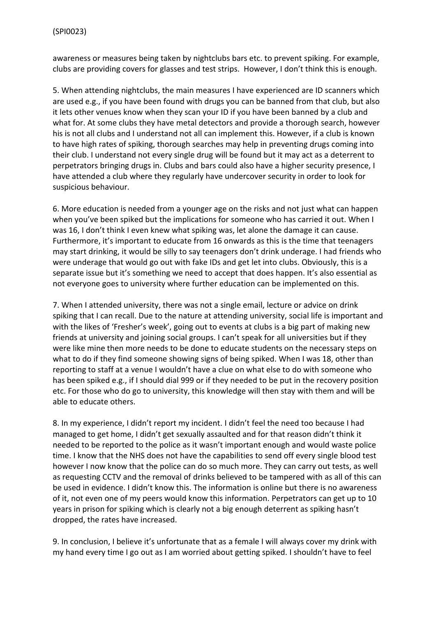awareness or measures being taken by nightclubs bars etc. to prevent spiking. For example, clubs are providing covers for glasses and test strips. However, I don't think this is enough.

5. When attending nightclubs, the main measures I have experienced are ID scanners which are used e.g., if you have been found with drugs you can be banned from that club, but also it lets other venues know when they scan your ID if you have been banned by a club and what for. At some clubs they have metal detectors and provide a thorough search, however his is not all clubs and I understand not all can implement this. However, if a club is known to have high rates of spiking, thorough searches may help in preventing drugs coming into their club. I understand not every single drug will be found but it may act as a deterrent to perpetrators bringing drugs in. Clubs and bars could also have a higher security presence, I have attended a club where they regularly have undercover security in order to look for suspicious behaviour.

6. More education is needed from a younger age on the risks and not just what can happen when you've been spiked but the implications for someone who has carried it out. When I was 16, I don't think I even knew what spiking was, let alone the damage it can cause. Furthermore, it's important to educate from 16 onwards as this is the time that teenagers may start drinking, it would be silly to say teenagers don't drink underage. I had friends who were underage that would go out with fake IDs and get let into clubs. Obviously, this is a separate issue but it's something we need to accept that does happen. It's also essential as not everyone goes to university where further education can be implemented on this.

7. When I attended university, there was not a single email, lecture or advice on drink spiking that I can recall. Due to the nature at attending university, social life is important and with the likes of 'Fresher's week', going out to events at clubs is a big part of making new friends at university and joining social groups. I can't speak for all universities but if they were like mine then more needs to be done to educate students on the necessary steps on what to do if they find someone showing signs of being spiked. When I was 18, other than reporting to staff at a venue I wouldn't have a clue on what else to do with someone who has been spiked e.g., if I should dial 999 or if they needed to be put in the recovery position etc. For those who do go to university, this knowledge will then stay with them and will be able to educate others.

8. In my experience, I didn't report my incident. I didn't feel the need too because I had managed to get home, I didn't get sexually assaulted and for that reason didn't think it needed to be reported to the police as it wasn't important enough and would waste police time. I know that the NHS does not have the capabilities to send off every single blood test however I now know that the police can do so much more. They can carry out tests, as well as requesting CCTV and the removal of drinks believed to be tampered with as all of this can be used in evidence. I didn't know this. The information is online but there is no awareness of it, not even one of my peers would know this information. Perpetrators can get up to 10 years in prison for spiking which is clearly not a big enough deterrent as spiking hasn't dropped, the rates have increased.

9. In conclusion, I believe it's unfortunate that as a female I will always cover my drink with my hand every time I go out as I am worried about getting spiked. I shouldn't have to feel